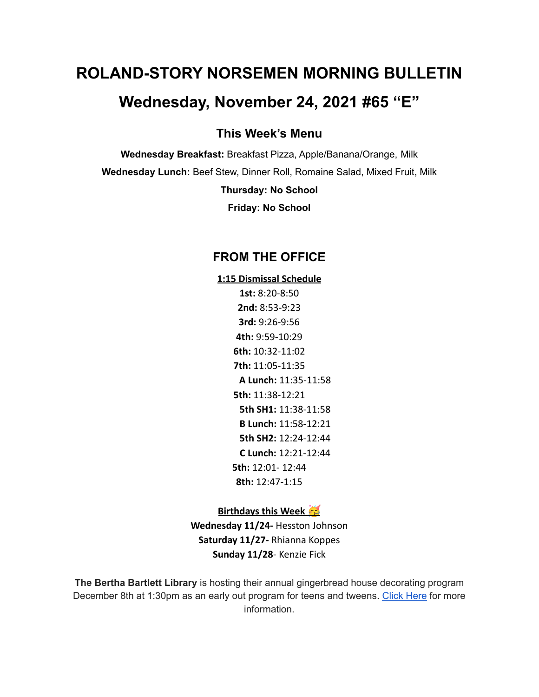# **ROLAND-STORY NORSEMEN MORNING BULLETIN**

# **Wednesday, November 24, 2021 #65 "E"**

**This Week's Menu**

**Wednesday Breakfast:** Breakfast Pizza, Apple/Banana/Orange, Milk **Wednesday Lunch:** Beef Stew, Dinner Roll, Romaine Salad, Mixed Fruit, Milk

**Thursday: No School**

**Friday: No School**

# **FROM THE OFFICE**

**1:15 Dismissal Schedule 1st:** 8:20-8:50 **2nd:** 8:53-9:23 **3rd:** 9:26-9:56 **4th:** 9:59-10:29 **6th:** 10:32-11:02 **7th:** 11:05-11:35 **A Lunch:** 11:35-11:58 **5th:** 11:38-12:21 **5th SH1:** 11:38-11:58 **B Lunch:** 11:58-12:21 **5th SH2:** 12:24-12:44 **C Lunch:** 12:21-12:44 **5th:** 12:01- 12:44 **8th:** 12:47-1:15

#### **Birthdays this Week**

**Wednesday 11/24-** Hesston Johnson **Saturday 11/27-** Rhianna Koppes **Sunday 11/28**- Kenzie Fick

**The Bertha Bartlett Library** is hosting their annual gingerbread house decorating program December 8th at 1:30pm as an early out program for teens and tweens. [Click](https://drive.google.com/file/d/1CGmF_50aOwKsD39mKxU7mwvY-md9xy5B/view?usp=sharing) Here for more information.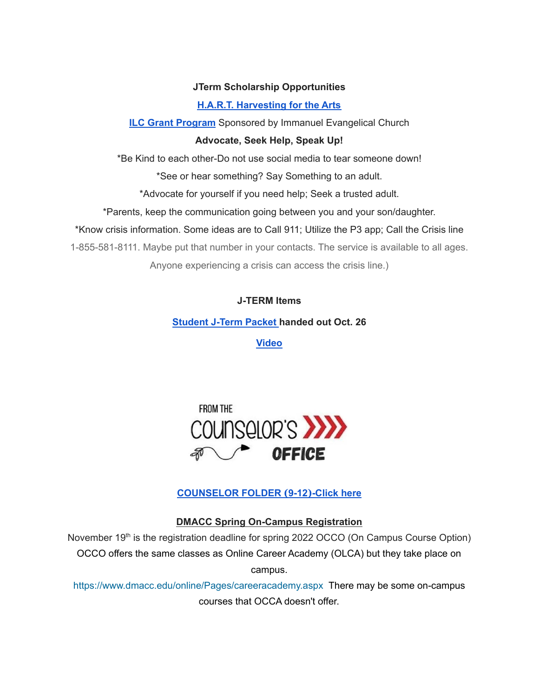#### **JTerm Scholarship Opportunities**

#### **H.A.R.T. [Harvesting](https://drive.google.com/file/d/11g4-lZB5o7SgG3y5R4Ux7ycNKvq857Rx/view?usp=sharing) for the Arts**

**ILC Grant [Program](https://docs.google.com/document/d/1b9DHMpZaVSj48gvRrAlQ3TA3HICpz-mx/edit?usp=sharing&ouid=114282091537110464265&rtpof=true&sd=true)** Sponsored by Immanuel Evangelical Church

#### **Advocate, Seek Help, Speak Up!**

\*Be Kind to each other-Do not use social media to tear someone down!

\*See or hear something? Say Something to an adult.

\*Advocate for yourself if you need help; Seek a trusted adult.

\*Parents, keep the communication going between you and your son/daughter.

\*Know crisis information. Some ideas are to Call 911; Utilize the P3 app; Call the Crisis line

1-855-581-8111. Maybe put that number in your contacts. The service is available to all ages.

Anyone experiencing a crisis can access the crisis line.)

#### **J-TERM Items**

**[Student](https://drive.google.com/file/d/1h6QugcDvlDevR3f9EywbUQrqVqyCPD5n/view?usp=sharing) J-Term Packet handed out Oct. 26**

**[Video](https://drive.google.com/file/d/1-IjAQRz891m66mXs_V_s9qC8_1HN0Jw_/view?usp=sharing)**



## **[COUNSELOR](https://docs.google.com/document/d/1vmwczNPbDzXe9vFaG5LJMQ7NYDv-i4oQJHybqA65TUc/edit?usp=sharing) FOLDER (9-12)-Click here**

**DMACC Spring On-Campus Registration**

November 19<sup>th</sup> is the registration deadline for spring 2022 OCCO (On Campus Course Option) OCCO offers the same classes as Online Career Academy (OLCA) but they take place on campus.

<https://www.dmacc.edu/online/Pages/careeracademy.aspx> There may be some on-campus courses that OCCA doesn't offer.